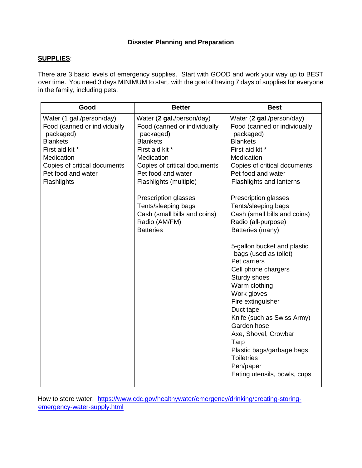### **Disaster Planning and Preparation**

### **SUPPLIES**:

There are 3 basic levels of emergency supplies. Start with GOOD and work your way up to BEST over time. You need 3 days MINIMUM to start, with the goal of having 7 days of supplies for everyone in the family, including pets.

| Good                                                                                                                                                                                            | <b>Better</b>                                                                                                                                                                                                                                                                                                                  | <b>Best</b>                                                                                                                                                                                                                                                                                                                                                                                                                                                                                                                                                                                                                                                                                                       |
|-------------------------------------------------------------------------------------------------------------------------------------------------------------------------------------------------|--------------------------------------------------------------------------------------------------------------------------------------------------------------------------------------------------------------------------------------------------------------------------------------------------------------------------------|-------------------------------------------------------------------------------------------------------------------------------------------------------------------------------------------------------------------------------------------------------------------------------------------------------------------------------------------------------------------------------------------------------------------------------------------------------------------------------------------------------------------------------------------------------------------------------------------------------------------------------------------------------------------------------------------------------------------|
| Water (1 gal./person/day)<br>Food (canned or individually<br>packaged)<br><b>Blankets</b><br>First aid kit *<br>Medication<br>Copies of critical documents<br>Pet food and water<br>Flashlights | Water (2 gal./person/day)<br>Food (canned or individually<br>packaged)<br><b>Blankets</b><br>First aid kit *<br>Medication<br>Copies of critical documents<br>Pet food and water<br>Flashlights (multiple)<br>Prescription glasses<br>Tents/sleeping bags<br>Cash (small bills and coins)<br>Radio (AM/FM)<br><b>Batteries</b> | Water (2 gal./person/day)<br>Food (canned or individually<br>packaged)<br><b>Blankets</b><br>First aid kit *<br>Medication<br>Copies of critical documents<br>Pet food and water<br><b>Flashlights and lanterns</b><br><b>Prescription glasses</b><br>Tents/sleeping bags<br>Cash (small bills and coins)<br>Radio (all-purpose)<br>Batteries (many)<br>5-gallon bucket and plastic<br>bags (used as toilet)<br>Pet carriers<br>Cell phone chargers<br>Sturdy shoes<br>Warm clothing<br>Work gloves<br>Fire extinguisher<br>Duct tape<br>Knife (such as Swiss Army)<br>Garden hose<br>Axe, Shovel, Crowbar<br>Tarp<br>Plastic bags/garbage bags<br><b>Toiletries</b><br>Pen/paper<br>Eating utensils, bowls, cups |

How to store water: https://www.cdc.gov/healthywater/emergency/drinking/creating-storingemergency-water-supply.html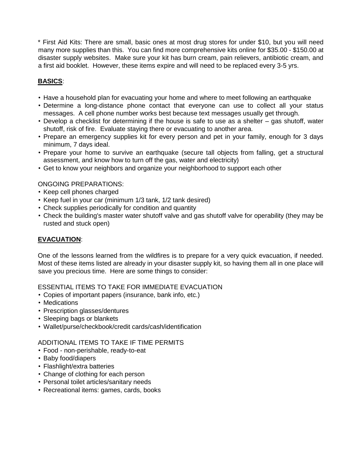\* First Aid Kits: There are small, basic ones at most drug stores for under \$10, but you will need many more supplies than this. You can find more comprehensive kits online for \$35.00 - \$150.00 at disaster supply websites. Make sure your kit has burn cream, pain relievers, antibiotic cream, and a first aid booklet. However, these items expire and will need to be replaced every 3-5 yrs.

# **BASICS**:

- Have a household plan for evacuating your home and where to meet following an earthquake
- Determine a long-distance phone contact that everyone can use to collect all your status messages. A cell phone number works best because text messages usually get through.
- Develop a checklist for determining if the house is safe to use as a shelter gas shutoff, water shutoff, risk of fire. Evaluate staying there or evacuating to another area.
- Prepare an emergency supplies kit for every person and pet in your family, enough for 3 days minimum, 7 days ideal.
- Prepare your home to survive an earthquake (secure tall objects from falling, get a structural assessment, and know how to turn off the gas, water and electricity)
- Get to know your neighbors and organize your neighborhood to support each other

### ONGOING PREPARATIONS:

- Keep cell phones charged
- Keep fuel in your car (minimum 1/3 tank, 1/2 tank desired)
- Check supplies periodically for condition and quantity
- Check the building's master water shutoff valve and gas shutoff valve for operability (they may be rusted and stuck open)

# **EVACUATION**:

One of the lessons learned from the wildfires is to prepare for a very quick evacuation, if needed. Most of these items listed are already in your disaster supply kit, so having them all in one place will save you precious time. Here are some things to consider:

ESSENTIAL ITEMS TO TAKE FOR IMMEDIATE EVACUATION

- Copies of important papers (insurance, bank info, etc.)
- Medications
- Prescription glasses/dentures
- Sleeping bags or blankets
- Wallet/purse/checkbook/credit cards/cash/identification

# ADDITIONAL ITEMS TO TAKE IF TIME PERMITS

- Food non-perishable, ready-to-eat
- Baby food/diapers
- Flashlight/extra batteries
- Change of clothing for each person
- Personal toilet articles/sanitary needs
- Recreational items: games, cards, books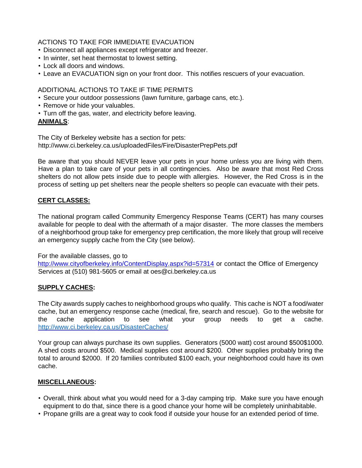ACTIONS TO TAKE FOR IMMEDIATE EVACUATION

- Disconnect all appliances except refrigerator and freezer.
- In winter, set heat thermostat to lowest setting.
- Lock all doors and windows.
- Leave an EVACUATION sign on your front door. This notifies rescuers of your evacuation.

ADDITIONAL ACTIONS TO TAKE IF TIME PERMITS

- Secure your outdoor possessions (lawn furniture, garbage cans, etc.).
- Remove or hide your valuables.
- Turn off the gas, water, and electricity before leaving.

### **ANIMALS**:

The City of Berkeley website has a section for pets: http://www.ci.berkeley.ca.us/uploadedFiles/Fire/DisasterPrepPets.pdf

Be aware that you should NEVER leave your pets in your home unless you are living with them. Have a plan to take care of your pets in all contingencies. Also be aware that most Red Cross shelters do not allow pets inside due to people with allergies. However, the Red Cross is in the process of setting up pet shelters near the people shelters so people can evacuate with their pets.

# **CERT CLASSES:**

The national program called Community Emergency Response Teams (CERT) has many courses available for people to deal with the aftermath of a major disaster. The more classes the members of a neighborhood group take for emergency prep certification, the more likely that group will receive an emergency supply cache from the City (see below).

For the available classes, go to

http://www.cityofberkeley.info/ContentDisplay.aspx?id=57314 or contact the Office of Emergency Services at (510) 981-5605 or email at oes@ci.berkeley.ca.us

# **SUPPLY CACHES:**

The City awards supply caches to neighborhood groups who qualify. This cache is NOT a food/water cache, but an emergency response cache (medical, fire, search and rescue). Go to the website for the cache application to see what your group needs to get a cache. <http://www.ci.berkeley.ca.us/DisasterCaches/>

Your group can always purchase its own supplies. Generators (5000 watt) cost around \$500\$1000. A shed costs around \$500. Medical supplies cost around \$200. Other supplies probably bring the total to around \$2000. If 20 families contributed \$100 each, your neighborhood could have its own cache.

# **MISCELLANEOUS:**

- Overall, think about what you would need for a 3-day camping trip. Make sure you have enough equipment to do that, since there is a good chance your home will be completely uninhabitable.
- Propane grills are a great way to cook food if outside your house for an extended period of time.